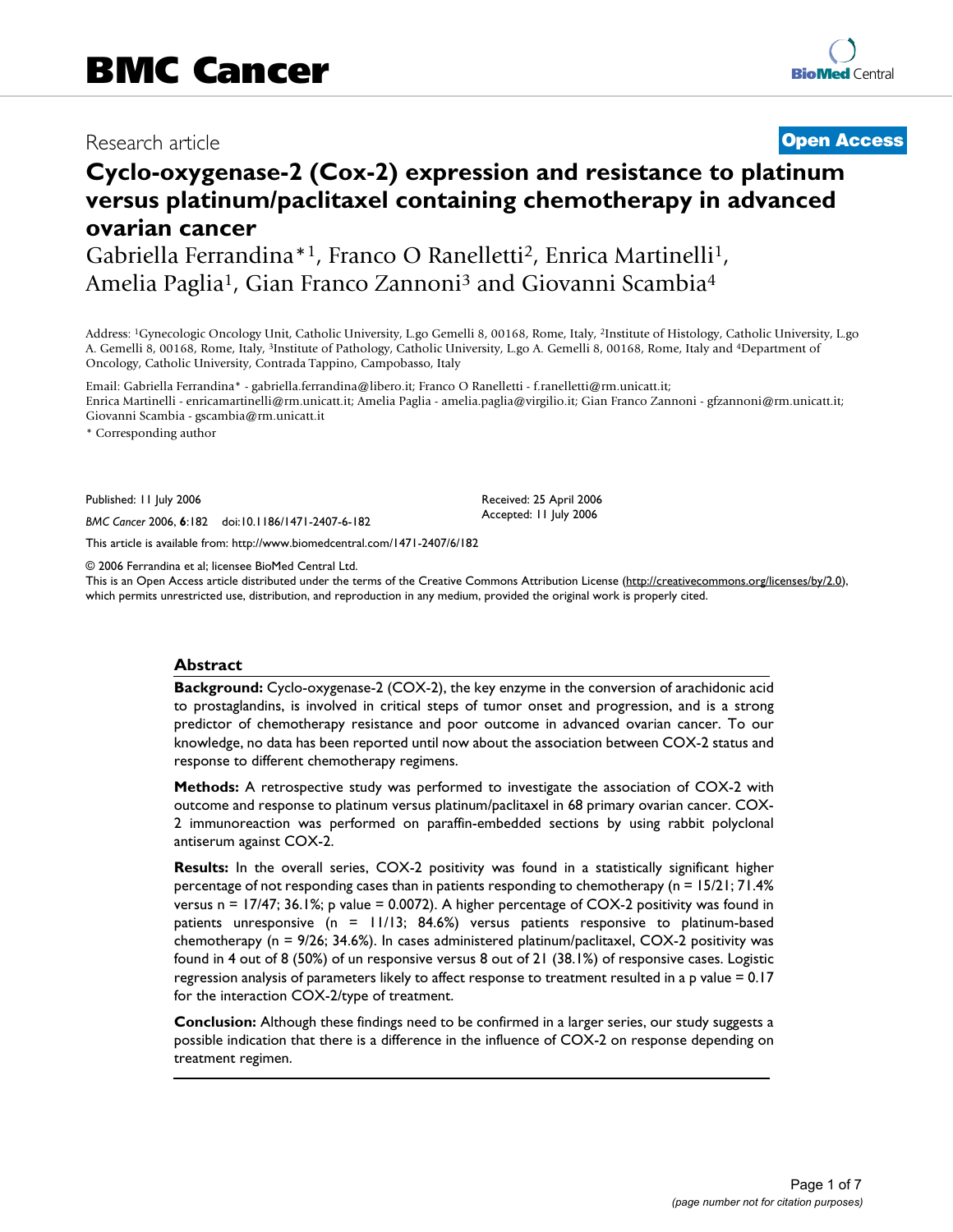# Research article **[Open Access](http://www.biomedcentral.com/info/about/charter/)**

# **Cyclo-oxygenase-2 (Cox-2) expression and resistance to platinum versus platinum/paclitaxel containing chemotherapy in advanced ovarian cancer**

Gabriella Ferrandina\*1, Franco O Ranelletti2, Enrica Martinelli1, Amelia Paglia1, Gian Franco Zannoni3 and Giovanni Scambia4

Address: 1Gynecologic Oncology Unit, Catholic University, L.go Gemelli 8, 00168, Rome, Italy, 2Institute of Histology, Catholic University, L.go A. Gemelli 8, 00168, Rome, Italy, 3Institute of Pathology, Catholic University, L.go A. Gemelli 8, 00168, Rome, Italy and 4Department of Oncology, Catholic University, Contrada Tappino, Campobasso, Italy

Email: Gabriella Ferrandina\* - gabriella.ferrandina@libero.it; Franco O Ranelletti - f.ranelletti@rm.unicatt.it; Enrica Martinelli - enricamartinelli@rm.unicatt.it; Amelia Paglia - amelia.paglia@virgilio.it; Gian Franco Zannoni - gfzannoni@rm.unicatt.it; Giovanni Scambia - gscambia@rm.unicatt.it

\* Corresponding author

Published: 11 July 2006

*BMC Cancer* 2006, **6**:182 doi:10.1186/1471-2407-6-182

[This article is available from: http://www.biomedcentral.com/1471-2407/6/182](http://www.biomedcentral.com/1471-2407/6/182)

© 2006 Ferrandina et al; licensee BioMed Central Ltd.

This is an Open Access article distributed under the terms of the Creative Commons Attribution License [\(http://creativecommons.org/licenses/by/2.0\)](http://creativecommons.org/licenses/by/2.0), which permits unrestricted use, distribution, and reproduction in any medium, provided the original work is properly cited.

Received: 25 April 2006 Accepted: 11 July 2006

#### **Abstract**

**Background:** Cyclo-oxygenase-2 (COX-2), the key enzyme in the conversion of arachidonic acid to prostaglandins, is involved in critical steps of tumor onset and progression, and is a strong predictor of chemotherapy resistance and poor outcome in advanced ovarian cancer. To our knowledge, no data has been reported until now about the association between COX-2 status and response to different chemotherapy regimens.

**Methods:** A retrospective study was performed to investigate the association of COX-2 with outcome and response to platinum versus platinum/paclitaxel in 68 primary ovarian cancer. COX-2 immunoreaction was performed on paraffin-embedded sections by using rabbit polyclonal antiserum against COX-2.

**Results:** In the overall series, COX-2 positivity was found in a statistically significant higher percentage of not responding cases than in patients responding to chemotherapy (n = 15/21; 71.4% versus n = 17/47; 36.1%; p value = 0.0072). A higher percentage of COX-2 positivity was found in patients unresponsive (n = 11/13; 84.6%) versus patients responsive to platinum-based chemotherapy (n = 9/26; 34.6%). In cases administered platinum/paclitaxel, COX-2 positivity was found in 4 out of 8 (50%) of un responsive versus 8 out of 21 (38.1%) of responsive cases. Logistic regression analysis of parameters likely to affect response to treatment resulted in a p value = 0.17 for the interaction COX-2/type of treatment.

**Conclusion:** Although these findings need to be confirmed in a larger series, our study suggests a possible indication that there is a difference in the influence of COX-2 on response depending on treatment regimen.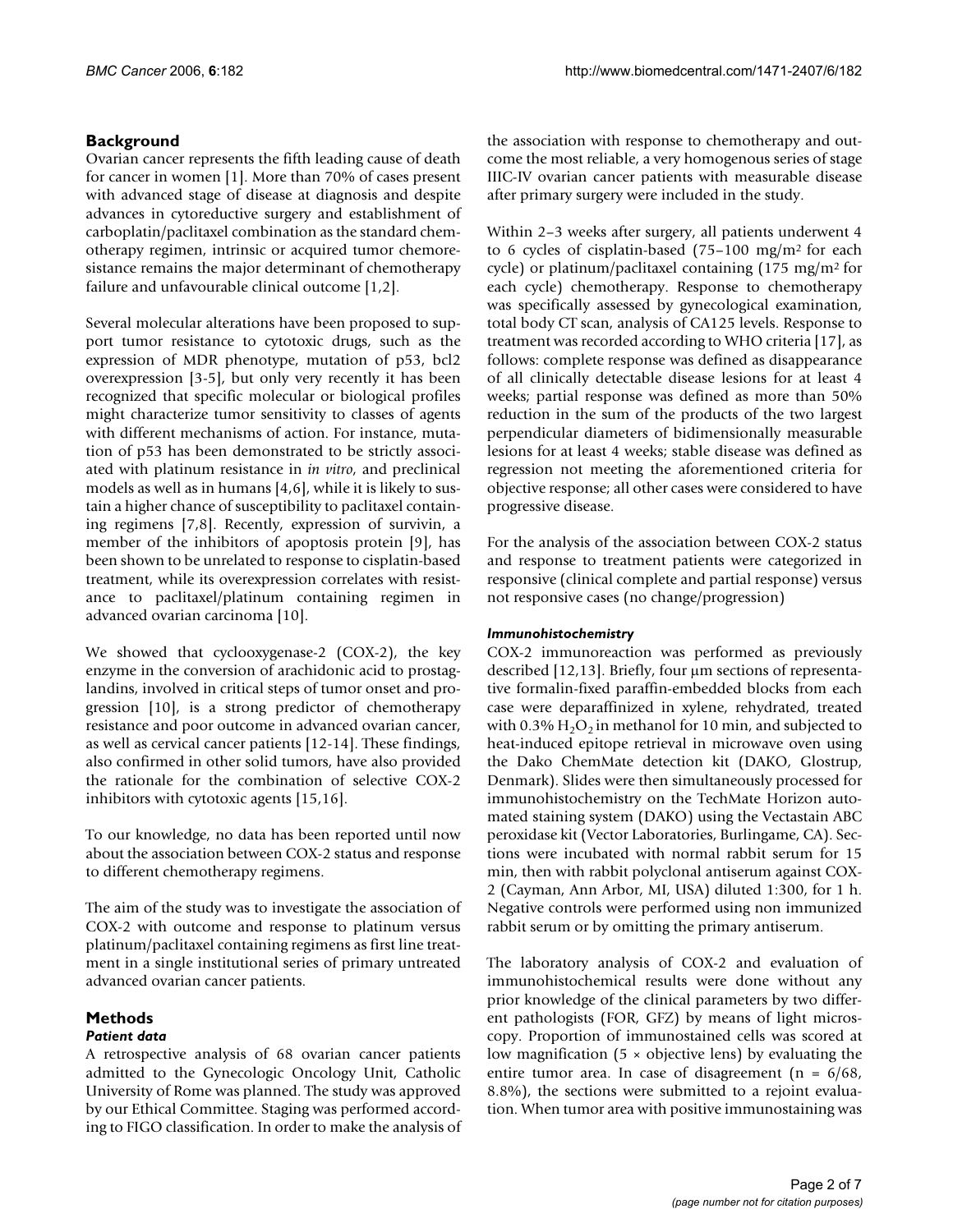# **Background**

Ovarian cancer represents the fifth leading cause of death for cancer in women [1]. More than 70% of cases present with advanced stage of disease at diagnosis and despite advances in cytoreductive surgery and establishment of carboplatin/paclitaxel combination as the standard chemotherapy regimen, intrinsic or acquired tumor chemoresistance remains the major determinant of chemotherapy failure and unfavourable clinical outcome [1,2].

Several molecular alterations have been proposed to support tumor resistance to cytotoxic drugs, such as the expression of MDR phenotype, mutation of p53, bcl2 overexpression [3-5], but only very recently it has been recognized that specific molecular or biological profiles might characterize tumor sensitivity to classes of agents with different mechanisms of action. For instance, mutation of p53 has been demonstrated to be strictly associated with platinum resistance in *in vitro*, and preclinical models as well as in humans [4,6], while it is likely to sustain a higher chance of susceptibility to paclitaxel containing regimens [7,8]. Recently, expression of survivin, a member of the inhibitors of apoptosis protein [9], has been shown to be unrelated to response to cisplatin-based treatment, while its overexpression correlates with resistance to paclitaxel/platinum containing regimen in advanced ovarian carcinoma [10].

We showed that cyclooxygenase-2 (COX-2), the key enzyme in the conversion of arachidonic acid to prostaglandins, involved in critical steps of tumor onset and progression [10], is a strong predictor of chemotherapy resistance and poor outcome in advanced ovarian cancer, as well as cervical cancer patients [12-14]. These findings, also confirmed in other solid tumors, have also provided the rationale for the combination of selective COX-2 inhibitors with cytotoxic agents [15,16].

To our knowledge, no data has been reported until now about the association between COX-2 status and response to different chemotherapy regimens.

The aim of the study was to investigate the association of COX-2 with outcome and response to platinum versus platinum/paclitaxel containing regimens as first line treatment in a single institutional series of primary untreated advanced ovarian cancer patients.

# **Methods**

# *Patient data*

A retrospective analysis of 68 ovarian cancer patients admitted to the Gynecologic Oncology Unit, Catholic University of Rome was planned. The study was approved by our Ethical Committee. Staging was performed according to FIGO classification. In order to make the analysis of the association with response to chemotherapy and outcome the most reliable, a very homogenous series of stage IIIC-IV ovarian cancer patients with measurable disease after primary surgery were included in the study.

Within 2–3 weeks after surgery, all patients underwent 4 to 6 cycles of cisplatin-based (75–100 mg/m2 for each cycle) or platinum/paclitaxel containing (175 mg/m2 for each cycle) chemotherapy. Response to chemotherapy was specifically assessed by gynecological examination, total body CT scan, analysis of CA125 levels. Response to treatment was recorded according to WHO criteria [17], as follows: complete response was defined as disappearance of all clinically detectable disease lesions for at least 4 weeks; partial response was defined as more than 50% reduction in the sum of the products of the two largest perpendicular diameters of bidimensionally measurable lesions for at least 4 weeks; stable disease was defined as regression not meeting the aforementioned criteria for objective response; all other cases were considered to have progressive disease.

For the analysis of the association between COX-2 status and response to treatment patients were categorized in responsive (clinical complete and partial response) versus not responsive cases (no change/progression)

# *Immunohistochemistry*

COX-2 immunoreaction was performed as previously described [12,13]. Briefly, four µm sections of representative formalin-fixed paraffin-embedded blocks from each case were deparaffinized in xylene, rehydrated, treated with 0.3%  $H_2O_2$  in methanol for 10 min, and subjected to heat-induced epitope retrieval in microwave oven using the Dako ChemMate detection kit (DAKO, Glostrup, Denmark). Slides were then simultaneously processed for immunohistochemistry on the TechMate Horizon automated staining system (DAKO) using the Vectastain ABC peroxidase kit (Vector Laboratories, Burlingame, CA). Sections were incubated with normal rabbit serum for 15 min, then with rabbit polyclonal antiserum against COX-2 (Cayman, Ann Arbor, MI, USA) diluted 1:300, for 1 h. Negative controls were performed using non immunized rabbit serum or by omitting the primary antiserum.

The laboratory analysis of COX-2 and evaluation of immunohistochemical results were done without any prior knowledge of the clinical parameters by two different pathologists (FOR, GFZ) by means of light microscopy. Proportion of immunostained cells was scored at low magnification ( $5 \times$  objective lens) by evaluating the entire tumor area. In case of disagreement  $(n = 6/68,$ 8.8%), the sections were submitted to a rejoint evaluation. When tumor area with positive immunostaining was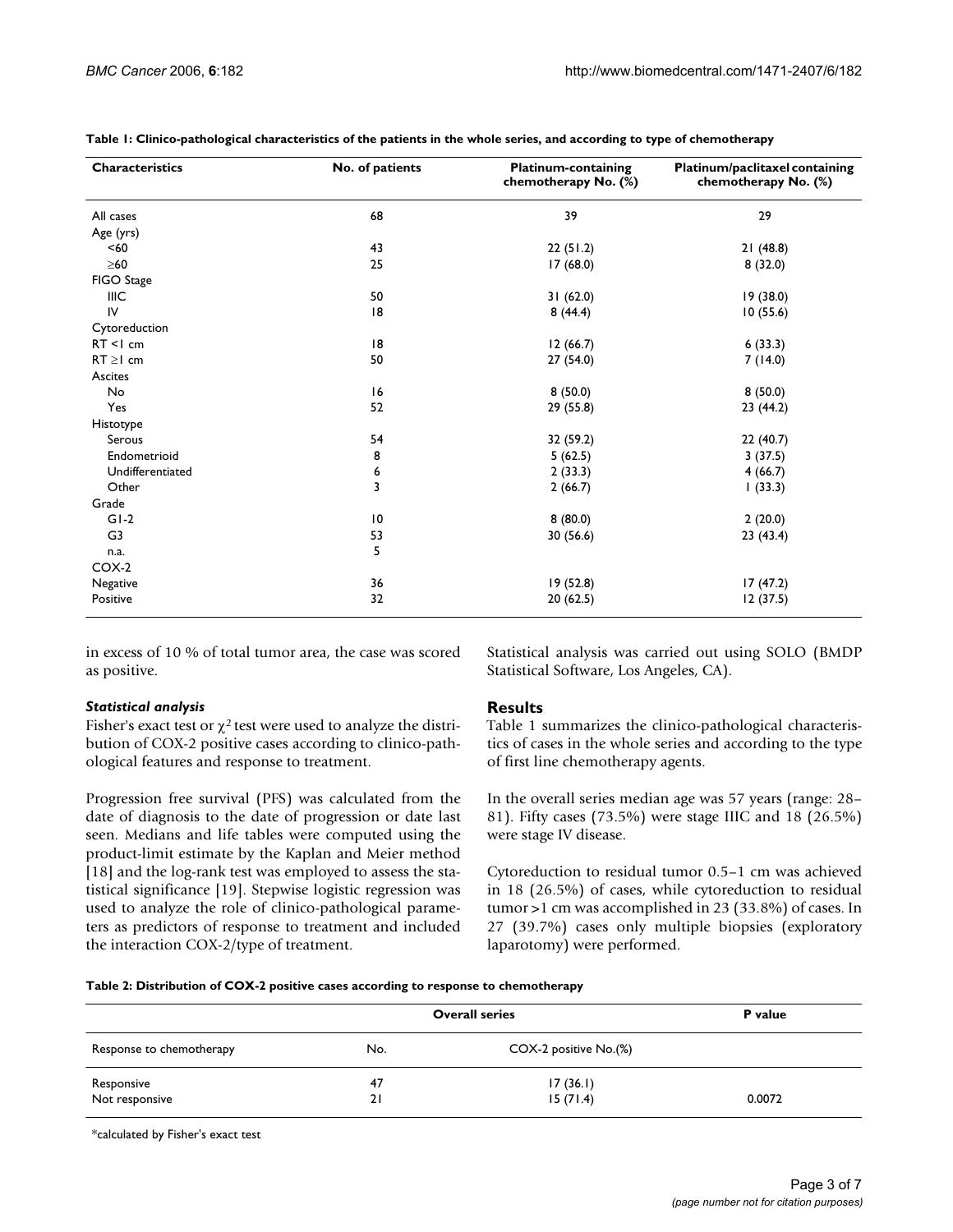| <b>Characteristics</b> | No. of patients | <b>Platinum-containing</b><br>chemotherapy No. (%) | Platinum/paclitaxel containing<br>chemotherapy No. (%) |
|------------------------|-----------------|----------------------------------------------------|--------------------------------------------------------|
| All cases              | 68              | 39                                                 | 29                                                     |
| Age (yrs)              |                 |                                                    |                                                        |
| < 60                   | 43              | 22(51.2)                                           | 21(48.8)                                               |
| $\geq 60$              | 25              | 17(68.0)                                           | 8(32.0)                                                |
| FIGO Stage             |                 |                                                    |                                                        |
| IIIC                   | 50              | 31(62.0)                                           | 19 (38.0)                                              |
| IV                     | 8               | 8(44.4)                                            | 10(55.6)                                               |
| Cytoreduction          |                 |                                                    |                                                        |
| $RT < 1$ cm            | 8               | 12(66.7)                                           | 6(33.3)                                                |
| $RT \geq 1$ cm         | 50              | 27 (54.0)                                          | 7(14.0)                                                |
| Ascites                |                 |                                                    |                                                        |
| No                     | 16              | 8(50.0)                                            | 8(50.0)                                                |
| Yes                    | 52              | 29 (55.8)                                          | 23 (44.2)                                              |
| Histotype              |                 |                                                    |                                                        |
| Serous                 | 54              | 32 (59.2)                                          | 22(40.7)                                               |
| Endometrioid           | 8               | 5(62.5)                                            | 3(37.5)                                                |
| Undifferentiated       | 6               | 2(33.3)                                            | 4(66.7)                                                |
| Other                  | 3               | 2(66.7)                                            | 1(33.3)                                                |
| Grade                  |                 |                                                    |                                                        |
| $GI-2$                 | $\overline{10}$ | 8(80.0)                                            | 2(20.0)                                                |
| G3                     | 53              | 30 (56.6)                                          | 23(43.4)                                               |
| n.a.                   | 5               |                                                    |                                                        |
| COX-2                  |                 |                                                    |                                                        |
| Negative               | 36              | 19 (52.8)                                          | 17(47.2)                                               |
| Positive               | 32              | 20(62.5)                                           | 12(37.5)                                               |

**Table 1: Clinico-pathological characteristics of the patients in the whole series, and according to type of chemotherapy**

in excess of 10 % of total tumor area, the case was scored as positive.

#### *Statistical analysis*

Fisher's exact test or  $\chi^2$  test were used to analyze the distribution of COX-2 positive cases according to clinico-pathological features and response to treatment.

Progression free survival (PFS) was calculated from the date of diagnosis to the date of progression or date last seen. Medians and life tables were computed using the product-limit estimate by the Kaplan and Meier method [18] and the log-rank test was employed to assess the statistical significance [19]. Stepwise logistic regression was used to analyze the role of clinico-pathological parameters as predictors of response to treatment and included the interaction COX-2/type of treatment.

Statistical analysis was carried out using SOLO (BMDP Statistical Software, Los Angeles, CA).

# **Results**

Table 1 summarizes the clinico-pathological characteristics of cases in the whole series and according to the type of first line chemotherapy agents.

In the overall series median age was 57 years (range: 28– 81). Fifty cases (73.5%) were stage IIIC and 18 (26.5%) were stage IV disease.

Cytoreduction to residual tumor 0.5–1 cm was achieved in 18 (26.5%) of cases, while cytoreduction to residual tumor >1 cm was accomplished in 23 (33.8%) of cases. In 27 (39.7%) cases only multiple biopsies (exploratory laparotomy) were performed.

|  |  |  | Table 2: Distribution of COX-2 positive cases according to response to chemotherapy |  |
|--|--|--|-------------------------------------------------------------------------------------|--|
|  |  |  |                                                                                     |  |

| Response to chemotherapy     | <b>Overall series</b> | P value               |        |
|------------------------------|-----------------------|-----------------------|--------|
|                              | No.                   | COX-2 positive No.(%) |        |
|                              | 47                    | 17(36.1)              |        |
| Responsive<br>Not responsive | 21                    | 15(71.4)              | 0.0072 |

\*calculated by Fisher's exact test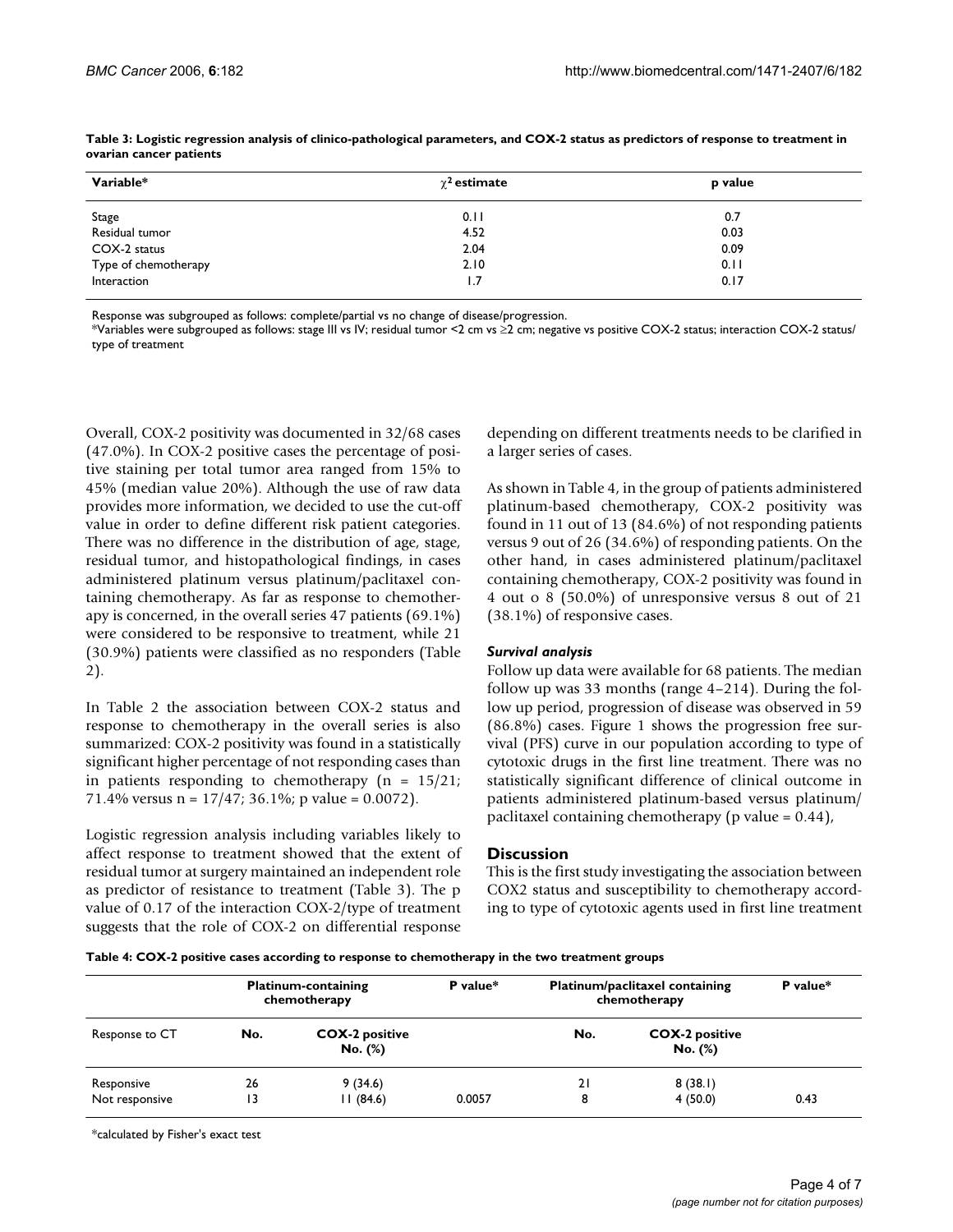| Variable*            | $\chi^{\bf 2}$ estimate | p value |  |  |
|----------------------|-------------------------|---------|--|--|
| Stage                | 0.11                    | 0.7     |  |  |
| Residual tumor       | 4.52                    | 0.03    |  |  |
| COX-2 status         | 2.04                    | 0.09    |  |  |
| Type of chemotherapy | 2.10                    | 0.11    |  |  |
| Interaction          | 1.7                     | 0.17    |  |  |

**Table 3: Logistic regression analysis of clinico-pathological parameters, and COX-2 status as predictors of response to treatment in ovarian cancer patients**

Response was subgrouped as follows: complete/partial vs no change of disease/progression.

\*Variables were subgrouped as follows: stage III vs IV; residual tumor <2 cm vs ≥2 cm; negative vs positive COX-2 status; interaction COX-2 status/ type of treatment

Overall, COX-2 positivity was documented in 32/68 cases (47.0%). In COX-2 positive cases the percentage of positive staining per total tumor area ranged from 15% to 45% (median value 20%). Although the use of raw data provides more information, we decided to use the cut-off value in order to define different risk patient categories. There was no difference in the distribution of age, stage, residual tumor, and histopathological findings, in cases administered platinum versus platinum/paclitaxel containing chemotherapy. As far as response to chemotherapy is concerned, in the overall series 47 patients (69.1%) were considered to be responsive to treatment, while 21 (30.9%) patients were classified as no responders (Table 2).

In Table 2 the association between COX-2 status and response to chemotherapy in the overall series is also summarized: COX-2 positivity was found in a statistically significant higher percentage of not responding cases than in patients responding to chemotherapy ( $n = 15/21$ ; 71.4% versus  $n = 17/47$ ; 36.1%; p value = 0.0072).

Logistic regression analysis including variables likely to affect response to treatment showed that the extent of residual tumor at surgery maintained an independent role as predictor of resistance to treatment (Table 3). The p value of 0.17 of the interaction COX-2/type of treatment suggests that the role of COX-2 on differential response depending on different treatments needs to be clarified in a larger series of cases.

As shown in Table 4, in the group of patients administered platinum-based chemotherapy, COX-2 positivity was found in 11 out of 13 (84.6%) of not responding patients versus 9 out of 26 (34.6%) of responding patients. On the other hand, in cases administered platinum/paclitaxel containing chemotherapy, COX-2 positivity was found in 4 out o 8 (50.0%) of unresponsive versus 8 out of 21 (38.1%) of responsive cases.

#### *Survival analysis*

Follow up data were available for 68 patients. The median follow up was 33 months (range 4–214). During the follow up period, progression of disease was observed in 59 (86.8%) cases. Figure 1 shows the progression free survival (PFS) curve in our population according to type of cytotoxic drugs in the first line treatment. There was no statistically significant difference of clinical outcome in patients administered platinum-based versus platinum/ paclitaxel containing chemotherapy (p value =  $0.44$ ),

#### **Discussion**

This is the first study investigating the association between COX2 status and susceptibility to chemotherapy according to type of cytotoxic agents used in first line treatment

**Table 4: COX-2 positive cases according to response to chemotherapy in the two treatment groups**

| <b>Platinum-containing</b><br>chemotherapy |     |                                  | P value* | Platinum/paclitaxel containing<br>chemotherapy |                                  | P value* |
|--------------------------------------------|-----|----------------------------------|----------|------------------------------------------------|----------------------------------|----------|
| Response to CT                             | No. | <b>COX-2 positive</b><br>No. (%) |          | No.                                            | <b>COX-2 positive</b><br>No. (%) |          |
| Responsive                                 | 26  | 9(34.6)                          |          | 21                                             | 8(38.1)                          |          |
| Not responsive                             | 13  | 11(84.6)                         | 0.0057   | 8                                              | 4(50.0)                          | 0.43     |

\*calculated by Fisher's exact test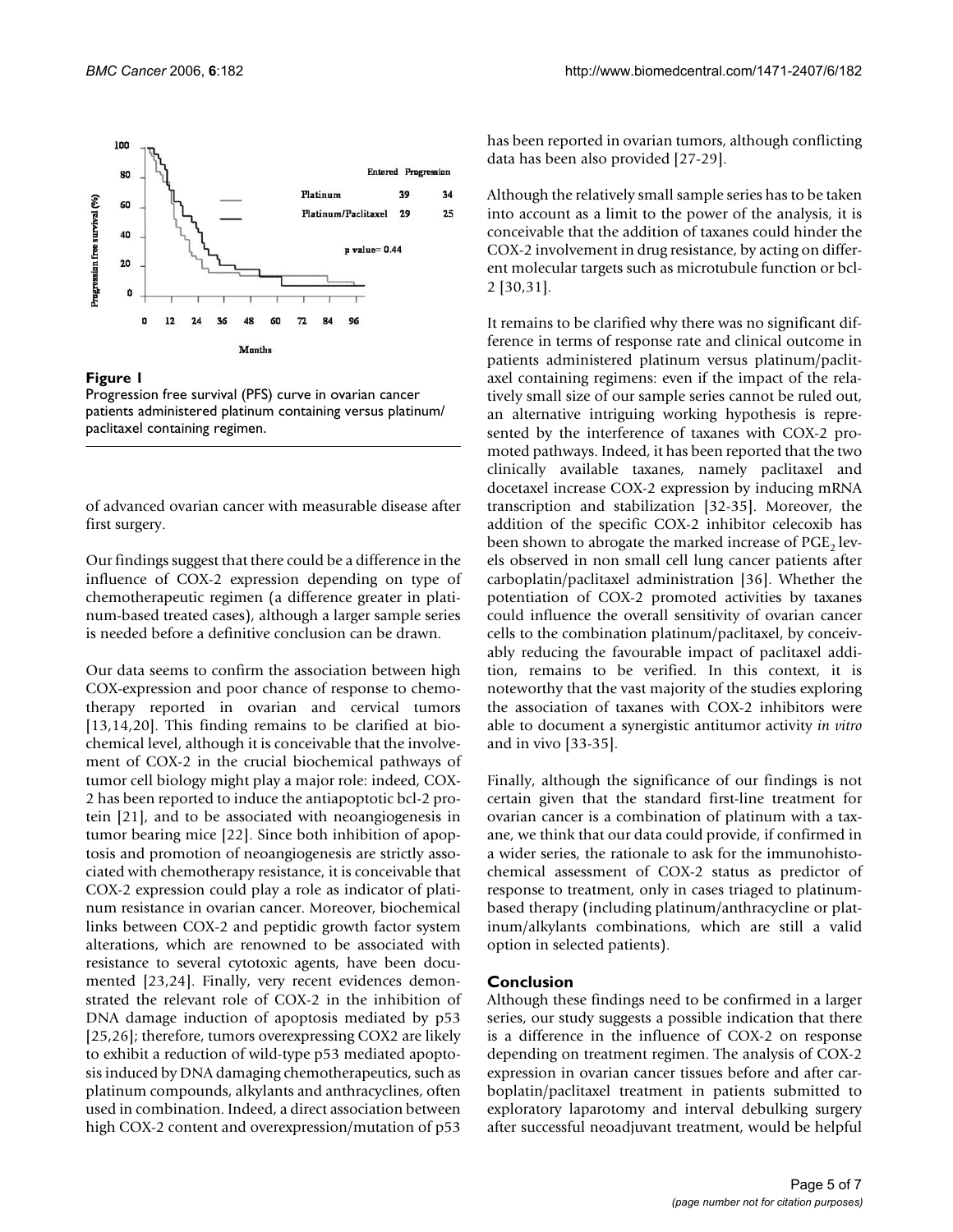

### Figure 1

Progression free survival (PFS) curve in ovarian cancer patients administered platinum containing versus platinum/ paclitaxel containing regimen.

of advanced ovarian cancer with measurable disease after first surgery.

Our findings suggest that there could be a difference in the influence of COX-2 expression depending on type of chemotherapeutic regimen (a difference greater in platinum-based treated cases), although a larger sample series is needed before a definitive conclusion can be drawn.

Our data seems to confirm the association between high COX-expression and poor chance of response to chemotherapy reported in ovarian and cervical tumors [13,14,20]. This finding remains to be clarified at biochemical level, although it is conceivable that the involvement of COX-2 in the crucial biochemical pathways of tumor cell biology might play a major role: indeed, COX-2 has been reported to induce the antiapoptotic bcl-2 protein [21], and to be associated with neoangiogenesis in tumor bearing mice [22]. Since both inhibition of apoptosis and promotion of neoangiogenesis are strictly associated with chemotherapy resistance, it is conceivable that COX-2 expression could play a role as indicator of platinum resistance in ovarian cancer. Moreover, biochemical links between COX-2 and peptidic growth factor system alterations, which are renowned to be associated with resistance to several cytotoxic agents, have been documented [23,24]. Finally, very recent evidences demonstrated the relevant role of COX-2 in the inhibition of DNA damage induction of apoptosis mediated by p53 [25,26]; therefore, tumors overexpressing COX2 are likely to exhibit a reduction of wild-type p53 mediated apoptosis induced by DNA damaging chemotherapeutics, such as platinum compounds, alkylants and anthracyclines, often used in combination. Indeed, a direct association between high COX-2 content and overexpression/mutation of p53

has been reported in ovarian tumors, although conflicting data has been also provided [27-29].

Although the relatively small sample series has to be taken into account as a limit to the power of the analysis, it is conceivable that the addition of taxanes could hinder the COX-2 involvement in drug resistance, by acting on different molecular targets such as microtubule function or bcl-2 [30,31].

It remains to be clarified why there was no significant difference in terms of response rate and clinical outcome in patients administered platinum versus platinum/paclitaxel containing regimens: even if the impact of the relatively small size of our sample series cannot be ruled out, an alternative intriguing working hypothesis is represented by the interference of taxanes with COX-2 promoted pathways. Indeed, it has been reported that the two clinically available taxanes, namely paclitaxel and docetaxel increase COX-2 expression by inducing mRNA transcription and stabilization [32-35]. Moreover, the addition of the specific COX-2 inhibitor celecoxib has been shown to abrogate the marked increase of  $PGE<sub>2</sub>$  levels observed in non small cell lung cancer patients after carboplatin/paclitaxel administration [36]. Whether the potentiation of COX-2 promoted activities by taxanes could influence the overall sensitivity of ovarian cancer cells to the combination platinum/paclitaxel, by conceivably reducing the favourable impact of paclitaxel addition, remains to be verified. In this context, it is noteworthy that the vast majority of the studies exploring the association of taxanes with COX-2 inhibitors were able to document a synergistic antitumor activity *in vitro* and in vivo [33-35].

Finally, although the significance of our findings is not certain given that the standard first-line treatment for ovarian cancer is a combination of platinum with a taxane, we think that our data could provide, if confirmed in a wider series, the rationale to ask for the immunohistochemical assessment of COX-2 status as predictor of response to treatment, only in cases triaged to platinumbased therapy (including platinum/anthracycline or platinum/alkylants combinations, which are still a valid option in selected patients).

#### **Conclusion**

Although these findings need to be confirmed in a larger series, our study suggests a possible indication that there is a difference in the influence of COX-2 on response depending on treatment regimen. The analysis of COX-2 expression in ovarian cancer tissues before and after carboplatin/paclitaxel treatment in patients submitted to exploratory laparotomy and interval debulking surgery after successful neoadjuvant treatment, would be helpful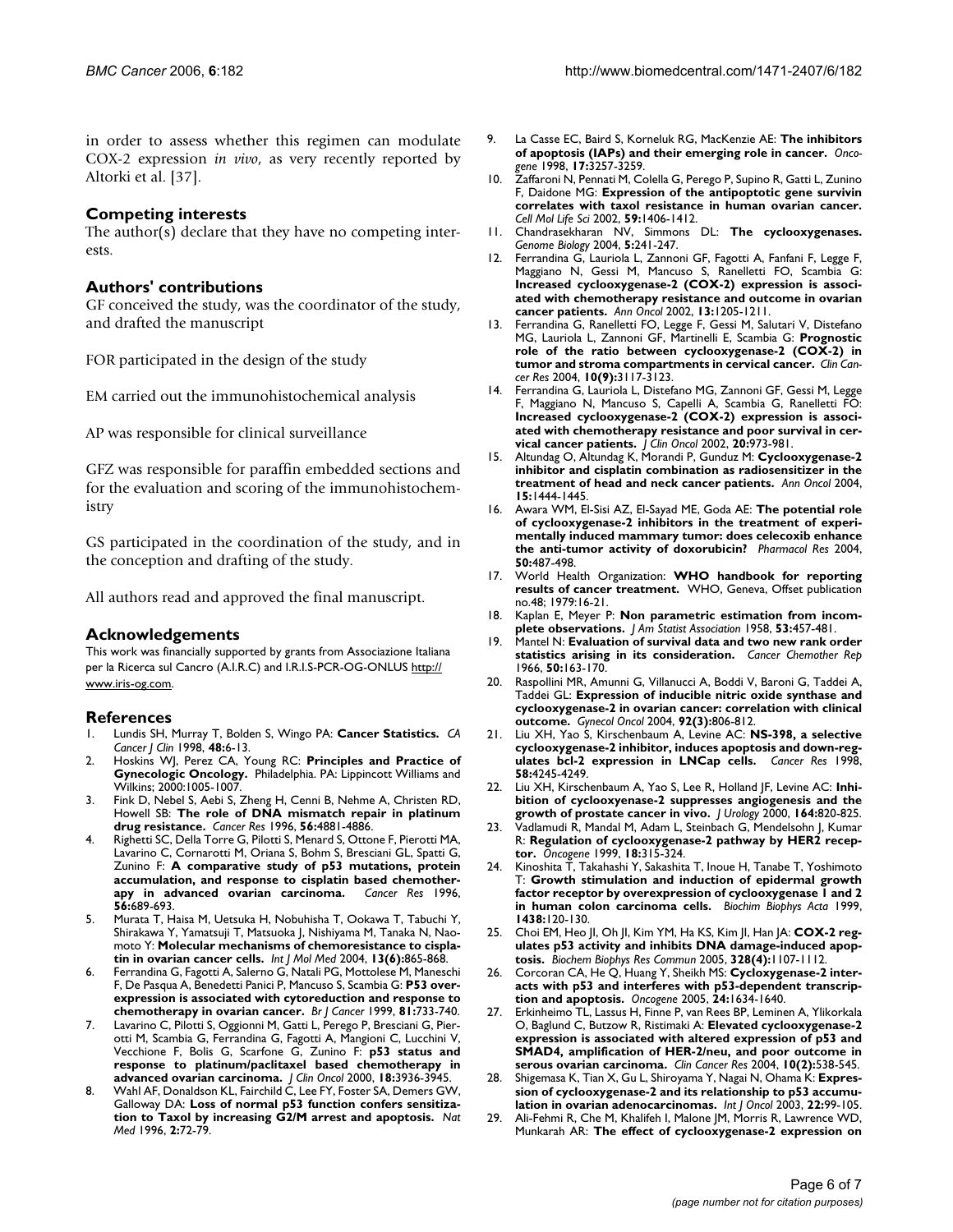in order to assess whether this regimen can modulate COX-2 expression *in vivo*, as very recently reported by Altorki et al. [37].

### **Competing interests**

The author(s) declare that they have no competing interests.

#### **Authors' contributions**

GF conceived the study, was the coordinator of the study, and drafted the manuscript

FOR participated in the design of the study

EM carried out the immunohistochemical analysis

AP was responsible for clinical surveillance

GFZ was responsible for paraffin embedded sections and for the evaluation and scoring of the immunohistochemistry

GS participated in the coordination of the study, and in the conception and drafting of the study.

All authors read and approved the final manuscript.

#### **Acknowledgements**

This work was financially supported by grants from Associazione Italiana per la Ricerca sul Cancro (A.I.R.C) and I.R.I.S-PCR-OG-ONLUS [http://](http://www.iris-og.com) [www.iris-og.com](http://www.iris-og.com).

#### **References**

- 1. Lundis SH, Murray T, Bolden S, Wingo PA: **[Cancer Statistics.](http://www.ncbi.nlm.nih.gov/entrez/query.fcgi?cmd=Retrieve&db=PubMed&dopt=Abstract&list_uids=9449931)** *CA Cancer J Clin* 1998, **48:**6-13.
- 2. Hoskins WJ, Perez CA, Young RC: **Principles and Practice of Gynecologic Oncology.** Philadelphia. PA: Lippincott Williams and Wilkins; 2000:1005-1007.
- 3. Fink D, Nebel S, Aebi S, Zheng H, Cenni B, Nehme A, Christen RD, Howell SB: **[The role of DNA mismatch repair in platinum](http://www.ncbi.nlm.nih.gov/entrez/query.fcgi?cmd=Retrieve&db=PubMed&dopt=Abstract&list_uids=8895738) [drug resistance.](http://www.ncbi.nlm.nih.gov/entrez/query.fcgi?cmd=Retrieve&db=PubMed&dopt=Abstract&list_uids=8895738)** *Cancer Res* 1996, **56:**4881-4886.
- 4. Righetti SC, Della Torre G, Pilotti S, Menard S, Ottone F, Pierotti MA, Lavarino C, Cornarotti M, Oriana S, Bohm S, Bresciani GL, Spatti G, Zunino F: **[A comparative study of p53 mutations, protein](http://www.ncbi.nlm.nih.gov/entrez/query.fcgi?cmd=Retrieve&db=PubMed&dopt=Abstract&list_uids=8630996) [accumulation, and response to cisplatin based chemother](http://www.ncbi.nlm.nih.gov/entrez/query.fcgi?cmd=Retrieve&db=PubMed&dopt=Abstract&list_uids=8630996)[apy in advanced ovarian carcinoma.](http://www.ncbi.nlm.nih.gov/entrez/query.fcgi?cmd=Retrieve&db=PubMed&dopt=Abstract&list_uids=8630996)** *Cancer Res* 1996, **56:**689-693.
- 5. Murata T, Haisa M, Uetsuka H, Nobuhisha T, Ookawa T, Tabuchi Y, Shirakawa Y, Yamatsuji T, Matsuoka J, Nishiyama M, Tanaka N, Naomoto Y: **[Molecular mechanisms of chemoresistance to cispla](http://www.ncbi.nlm.nih.gov/entrez/query.fcgi?cmd=Retrieve&db=PubMed&dopt=Abstract&list_uids=15138626)[tin in ovarian cancer cells.](http://www.ncbi.nlm.nih.gov/entrez/query.fcgi?cmd=Retrieve&db=PubMed&dopt=Abstract&list_uids=15138626)** *Int J Mol Med* 2004, **13(6):**865-868.
- 6. Ferrandina G, Fagotti A, Salerno G, Natali PG, Mottolese M, Maneschi F, De Pasqua A, Benedetti Panici P, Mancuso S, Scambia G: **[P53 over](http://www.ncbi.nlm.nih.gov/entrez/query.fcgi?cmd=Retrieve&db=PubMed&dopt=Abstract&list_uids=10574264)[expression is associated with cytoreduction and response to](http://www.ncbi.nlm.nih.gov/entrez/query.fcgi?cmd=Retrieve&db=PubMed&dopt=Abstract&list_uids=10574264) [chemotherapy in ovarian cancer.](http://www.ncbi.nlm.nih.gov/entrez/query.fcgi?cmd=Retrieve&db=PubMed&dopt=Abstract&list_uids=10574264)** *Br J Cancer* 1999, **81:**733-740.
- 7. Lavarino C, Pilotti S, Oggionni M, Gatti L, Perego P, Bresciani G, Pierotti M, Scambia G, Ferrandina G, Fagotti A, Mangioni C, Lucchini V, Vecchione F, Bolis G, Scarfone G, Zunino F: **[p53 status and](http://www.ncbi.nlm.nih.gov/entrez/query.fcgi?cmd=Retrieve&db=PubMed&dopt=Abstract&list_uids=11099323) [response to platinum/paclitaxel based chemotherapy in](http://www.ncbi.nlm.nih.gov/entrez/query.fcgi?cmd=Retrieve&db=PubMed&dopt=Abstract&list_uids=11099323) [advanced ovarian carcinoma.](http://www.ncbi.nlm.nih.gov/entrez/query.fcgi?cmd=Retrieve&db=PubMed&dopt=Abstract&list_uids=11099323)** *J Clin Oncol* 2000, **18:**3936-3945.
- 8. Wahl AF, Donaldson KL, Fairchild C, Lee FY, Foster SA, Demers GW, Galloway DA: **[Loss of normal p53 function confers sensitiza](http://www.ncbi.nlm.nih.gov/entrez/query.fcgi?cmd=Retrieve&db=PubMed&dopt=Abstract&list_uids=8564846)[tion to Taxol by increasing G2/M arrest and apoptosis.](http://www.ncbi.nlm.nih.gov/entrez/query.fcgi?cmd=Retrieve&db=PubMed&dopt=Abstract&list_uids=8564846)** *Nat Med* 1996, **2:**72-79.
- 9. La Casse EC, Baird S, Korneluk RG, MacKenzie AE: **The inhibitors of apoptosis (IAPs) and their emerging role in cancer.** *Oncogene* 1998, **17:**3257-3259.
- 10. Zaffaroni N, Pennati M, Colella G, Perego P, Supino R, Gatti L, Zunino F, Daidone MG: **[Expression of the antipoptotic gene survivin](http://www.ncbi.nlm.nih.gov/entrez/query.fcgi?cmd=Retrieve&db=PubMed&dopt=Abstract&list_uids=12363043) [correlates with taxol resistance in human ovarian cancer.](http://www.ncbi.nlm.nih.gov/entrez/query.fcgi?cmd=Retrieve&db=PubMed&dopt=Abstract&list_uids=12363043)** *Cell Mol Life Sci* 2002, **59:**1406-1412.
- 11. Chandrasekharan NV, Simmons DL: **[The cyclooxygenases.](http://www.ncbi.nlm.nih.gov/entrez/query.fcgi?cmd=Retrieve&db=PubMed&dopt=Abstract&list_uids=15345041)** *Genome Biology* 2004, **5:**241-247.
- 12. Ferrandina G, Lauriola L, Zannoni GF, Fagotti A, Fanfani F, Legge F, Maggiano N, Gessi M, Mancuso S, Ranelletti FO, Scambia G: **Increased cyclooxygenase-2 (COX-2) expression is associ[ated with chemotherapy resistance and outcome in ovarian](http://www.ncbi.nlm.nih.gov/entrez/query.fcgi?cmd=Retrieve&db=PubMed&dopt=Abstract&list_uids=12181243) [cancer patients.](http://www.ncbi.nlm.nih.gov/entrez/query.fcgi?cmd=Retrieve&db=PubMed&dopt=Abstract&list_uids=12181243)** *Ann Oncol* 2002, **13:**1205-1211.
- 13. Ferrandina G, Ranelletti FO, Legge F, Gessi M, Salutari V, Distefano MG, Lauriola L, Zannoni GF, Martinelli E, Scambia G: **[Prognostic](http://www.ncbi.nlm.nih.gov/entrez/query.fcgi?cmd=Retrieve&db=PubMed&dopt=Abstract&list_uids=15131052) [role of the ratio between cyclooxygenase-2 \(COX-2\) in](http://www.ncbi.nlm.nih.gov/entrez/query.fcgi?cmd=Retrieve&db=PubMed&dopt=Abstract&list_uids=15131052) [tumor and stroma compartments in cervical cancer.](http://www.ncbi.nlm.nih.gov/entrez/query.fcgi?cmd=Retrieve&db=PubMed&dopt=Abstract&list_uids=15131052)** *Clin Cancer Res* 2004, **10(9):**3117-3123.
- 14. Ferrandina G, Lauriola L, Distefano MG, Zannoni GF, Gessi M, Legge F, Maggiano N, Mancuso S, Capelli A, Scambia G, Ranelletti FO: **Increased cyclooxygenase-2 (COX-2) expression is associ[ated with chemotherapy resistance and poor survival in cer](http://www.ncbi.nlm.nih.gov/entrez/query.fcgi?cmd=Retrieve&db=PubMed&dopt=Abstract&list_uids=11844819)[vical cancer patients.](http://www.ncbi.nlm.nih.gov/entrez/query.fcgi?cmd=Retrieve&db=PubMed&dopt=Abstract&list_uids=11844819)** *J Clin Oncol* 2002, **20:**973-981.
- 15. Altundag O, Altundag K, Morandi P, Gunduz M: **[Cyclooxygenase-2](http://www.ncbi.nlm.nih.gov/entrez/query.fcgi?cmd=Retrieve&db=PubMed&dopt=Abstract&list_uids=15319254) [inhibitor and cisplatin combination as radiosensitizer in the](http://www.ncbi.nlm.nih.gov/entrez/query.fcgi?cmd=Retrieve&db=PubMed&dopt=Abstract&list_uids=15319254) [treatment of head and neck cancer patients.](http://www.ncbi.nlm.nih.gov/entrez/query.fcgi?cmd=Retrieve&db=PubMed&dopt=Abstract&list_uids=15319254)** *Ann Oncol* 2004, **15:**1444-1445.
- 16. Awara WM, El-Sisi AZ, El-Sayad ME, Goda AE: **[The potential role](http://www.ncbi.nlm.nih.gov/entrez/query.fcgi?cmd=Retrieve&db=PubMed&dopt=Abstract&list_uids=15458769) of cyclooxygenase-2 inhibitors in the treatment of experi[mentally induced mammary tumor: does celecoxib enhance](http://www.ncbi.nlm.nih.gov/entrez/query.fcgi?cmd=Retrieve&db=PubMed&dopt=Abstract&list_uids=15458769) [the anti-tumor activity of doxorubicin?](http://www.ncbi.nlm.nih.gov/entrez/query.fcgi?cmd=Retrieve&db=PubMed&dopt=Abstract&list_uids=15458769)** *Pharmacol Res* 2004, **50:**487-498.
- 17. World Health Organization: **WHO handbook for reporting results of cancer treatment.** WHO, Geneva, Offset publication no.48; 1979:16-21.
- Kaplan E, Meyer P: **Non parametric estimation from incomplete observations.** *J Am Statist Association* 1958, **53:**457-481.
- 19. Mantel N: **[Evaluation of survival data and two new rank order](http://www.ncbi.nlm.nih.gov/entrez/query.fcgi?cmd=Retrieve&db=PubMed&dopt=Abstract&list_uids=5910392) [statistics arising in its consideration.](http://www.ncbi.nlm.nih.gov/entrez/query.fcgi?cmd=Retrieve&db=PubMed&dopt=Abstract&list_uids=5910392)** *Cancer Chemother Rep* 1966, **50:**163-170.
- 20. Raspollini MR, Amunni G, Villanucci A, Boddi V, Baroni G, Taddei A, Taddei GL: **[Expression of inducible nitric oxide synthase and](http://www.ncbi.nlm.nih.gov/entrez/query.fcgi?cmd=Retrieve&db=PubMed&dopt=Abstract&list_uids=14984945) [cyclooxygenase-2 in ovarian cancer: correlation with clinical](http://www.ncbi.nlm.nih.gov/entrez/query.fcgi?cmd=Retrieve&db=PubMed&dopt=Abstract&list_uids=14984945) [outcome.](http://www.ncbi.nlm.nih.gov/entrez/query.fcgi?cmd=Retrieve&db=PubMed&dopt=Abstract&list_uids=14984945)** *Gynecol Oncol* 2004, **92(3):**806-812.
- 21. Liu XH, Yao S, Kirschenbaum A, Levine AC: **[NS-398, a selective](http://www.ncbi.nlm.nih.gov/entrez/query.fcgi?cmd=Retrieve&db=PubMed&dopt=Abstract&list_uids=9766645) [cyclooxygenase-2 inhibitor, induces apoptosis and down-reg](http://www.ncbi.nlm.nih.gov/entrez/query.fcgi?cmd=Retrieve&db=PubMed&dopt=Abstract&list_uids=9766645)[ulates bcl-2 expression in LNCap cells.](http://www.ncbi.nlm.nih.gov/entrez/query.fcgi?cmd=Retrieve&db=PubMed&dopt=Abstract&list_uids=9766645)** *Cancer Res* 1998, **58:**4245-4249.
- 22. Liu XH, Kirschenbaum A, Yao S, Lee R, Holland JF, Levine AC: **Inhibition of cyclooxyenase-2 suppresses angiogenesis and the growth of prostate cancer in vivo.** *J Urology* 2000, **164:**820-825.
- 23. Vadlamudi R, Mandal M, Adam L, Steinbach G, Mendelsohn J, Kumar R: **[Regulation of cyclooxygenase-2 pathway by HER2 recep](http://www.ncbi.nlm.nih.gov/entrez/query.fcgi?cmd=Retrieve&db=PubMed&dopt=Abstract&list_uids=9927188)[tor.](http://www.ncbi.nlm.nih.gov/entrez/query.fcgi?cmd=Retrieve&db=PubMed&dopt=Abstract&list_uids=9927188)** *Oncogene* 1999, **18:**315-324.
- 24. Kinoshita T, Takahashi Y, Sakashita T, Inoue H, Tanabe T, Yoshimoto T: **[Growth stimulation and induction of epidermal growth](http://www.ncbi.nlm.nih.gov/entrez/query.fcgi?cmd=Retrieve&db=PubMed&dopt=Abstract&list_uids=10216286) [factor receptor by overexpression of cyclooxygenase 1 and 2](http://www.ncbi.nlm.nih.gov/entrez/query.fcgi?cmd=Retrieve&db=PubMed&dopt=Abstract&list_uids=10216286) [in human colon carcinoma cells.](http://www.ncbi.nlm.nih.gov/entrez/query.fcgi?cmd=Retrieve&db=PubMed&dopt=Abstract&list_uids=10216286)** *Biochim Biophys Acta* 1999, **1438:**120-130.
- 25. Choi EM, Heo JI, Oh JI, Kim YM, Ha KS, Kim JI, Han JA: **[COX-2 reg](http://www.ncbi.nlm.nih.gov/entrez/query.fcgi?cmd=Retrieve&db=PubMed&dopt=Abstract&list_uids=15707991)[ulates p53 activity and inhibits DNA damage-induced apop](http://www.ncbi.nlm.nih.gov/entrez/query.fcgi?cmd=Retrieve&db=PubMed&dopt=Abstract&list_uids=15707991)[tosis.](http://www.ncbi.nlm.nih.gov/entrez/query.fcgi?cmd=Retrieve&db=PubMed&dopt=Abstract&list_uids=15707991)** *Biochem Biophys Res Commun* 2005, **328(4):**1107-1112.
- 26. Corcoran CA, He Q, Huang Y, Sheikh MS: **[Cycloxygenase-2 inter](http://www.ncbi.nlm.nih.gov/entrez/query.fcgi?cmd=Retrieve&db=PubMed&dopt=Abstract&list_uids=15608668)[acts with p53 and interferes with p53-dependent transcrip](http://www.ncbi.nlm.nih.gov/entrez/query.fcgi?cmd=Retrieve&db=PubMed&dopt=Abstract&list_uids=15608668)[tion and apoptosis.](http://www.ncbi.nlm.nih.gov/entrez/query.fcgi?cmd=Retrieve&db=PubMed&dopt=Abstract&list_uids=15608668)** *Oncogene* 2005, **24:**1634-1640.
- 27. Erkinheimo TL, Lassus H, Finne P, van Rees BP, Leminen A, Ylikorkala O, Baglund C, Butzow R, Ristimaki A: **[Elevated cyclooxygenase-2](http://www.ncbi.nlm.nih.gov/entrez/query.fcgi?cmd=Retrieve&db=PubMed&dopt=Abstract&list_uids=14760075) expression is associated with altered expression of p53 and [SMAD4, amplification of HER-2/neu, and poor outcome in](http://www.ncbi.nlm.nih.gov/entrez/query.fcgi?cmd=Retrieve&db=PubMed&dopt=Abstract&list_uids=14760075) [serous ovarian carcinoma.](http://www.ncbi.nlm.nih.gov/entrez/query.fcgi?cmd=Retrieve&db=PubMed&dopt=Abstract&list_uids=14760075)** *Clin Cancer Res* 2004, **10(2):**538-545.
- 28. Shigemasa K, Tian X, Gu L, Shiroyama Y, Nagai N, Ohama K: **[Expres](http://www.ncbi.nlm.nih.gov/entrez/query.fcgi?cmd=Retrieve&db=PubMed&dopt=Abstract&list_uids=12469191)[sion of cyclooxygenase-2 and its relationship to p53 accumu](http://www.ncbi.nlm.nih.gov/entrez/query.fcgi?cmd=Retrieve&db=PubMed&dopt=Abstract&list_uids=12469191)[lation in ovarian adenocarcinomas.](http://www.ncbi.nlm.nih.gov/entrez/query.fcgi?cmd=Retrieve&db=PubMed&dopt=Abstract&list_uids=12469191)** *Int J Oncol* 2003, **22:**99-105.
- 29. Ali-Fehmi R, Che M, Khalifeh I, Malone JM, Morris R, Lawrence WD, Munkarah AR: **[The effect of cyclooxygenase-2 expression on](http://www.ncbi.nlm.nih.gov/entrez/query.fcgi?cmd=Retrieve&db=PubMed&dopt=Abstract&list_uids=14508829)**